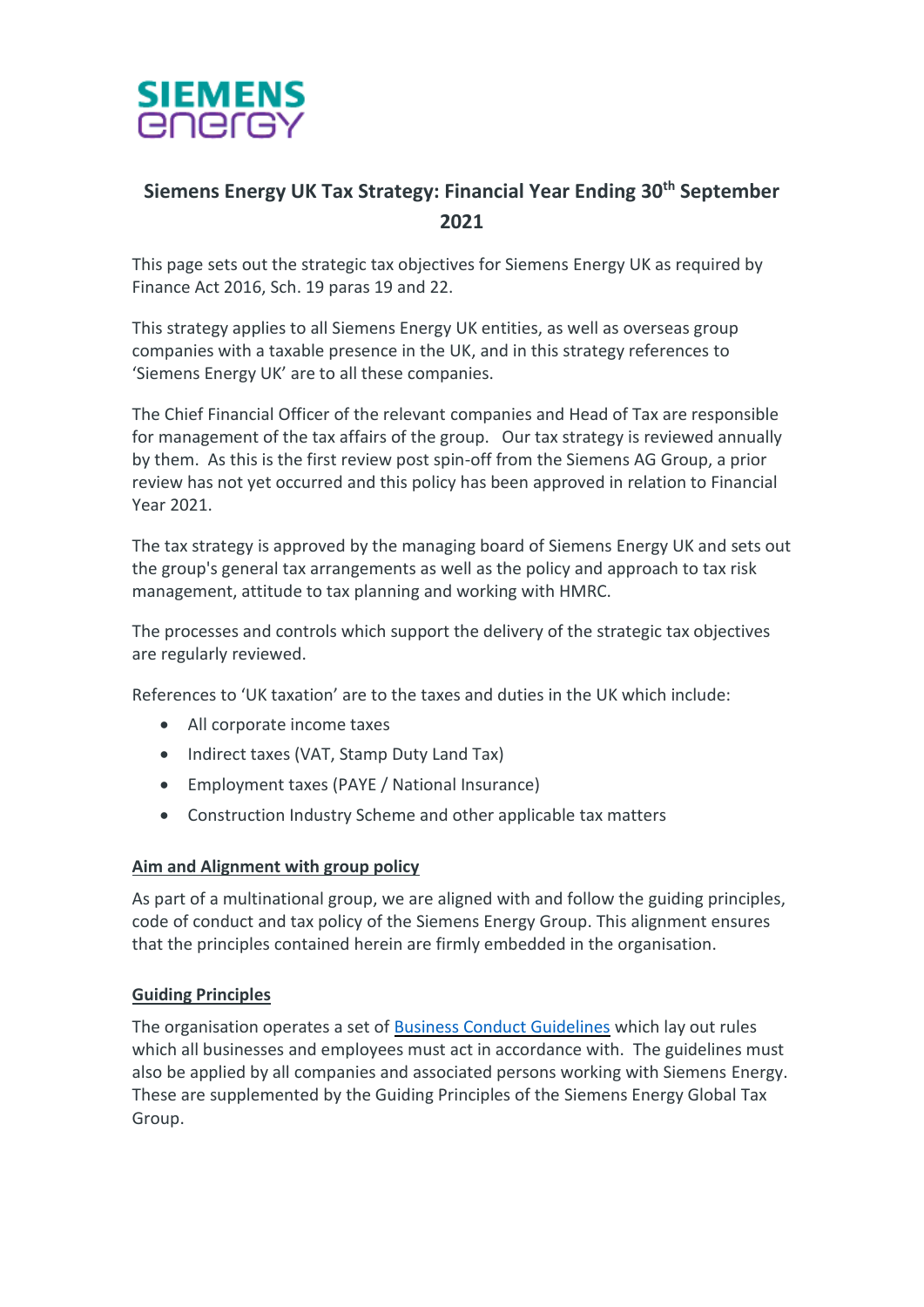

# **Siemens Energy UK Tax Strategy: Financial Year Ending 30th September 2021**

This page sets out the strategic tax objectives for Siemens Energy UK as required by Finance Act 2016, Sch. 19 paras 19 and 22.

This strategy applies to all Siemens Energy UK entities, as well as overseas group companies with a taxable presence in the UK, and in this strategy references to 'Siemens Energy UK' are to all these companies.

The Chief Financial Officer of the relevant companies and Head of Tax are responsible for management of the tax affairs of the group. Our tax strategy is reviewed annually by them. As this is the first review post spin-off from the Siemens AG Group, a prior review has not yet occurred and this policy has been approved in relation to Financial Year 2021.

The tax strategy is approved by the managing board of Siemens Energy UK and sets out the group's general tax arrangements as well as the policy and approach to tax risk management, attitude to tax planning and working with HMRC.

The processes and controls which support the delivery of the strategic tax objectives are regularly reviewed.

References to 'UK taxation' are to the taxes and duties in the UK which include:

- All corporate income taxes
- Indirect taxes (VAT, Stamp Duty Land Tax)
- Employment taxes (PAYE / National Insurance)
- Construction Industry Scheme and other applicable tax matters

#### **Aim and Alignment with group policy**

As part of a multinational group, we are aligned with and follow the guiding principles, code of conduct and tax policy of the Siemens Energy Group. This alignment ensures that the principles contained herein are firmly embedded in the organisation.

#### **Guiding Principles**

The organisation operates a set of [Business Conduct Guidelines](https://assets.siemens-energy.com/siemens/assets/api/uuid:3003021c-e5ba-4db5-9e00-6fad2c7c451e/siemens-energy-bcg-english.pdf) which lay out rules which all businesses and employees must act in accordance with. The guidelines must also be applied by all companies and associated persons working with Siemens Energy. These are supplemented by the Guiding Principles of the Siemens Energy Global Tax Group.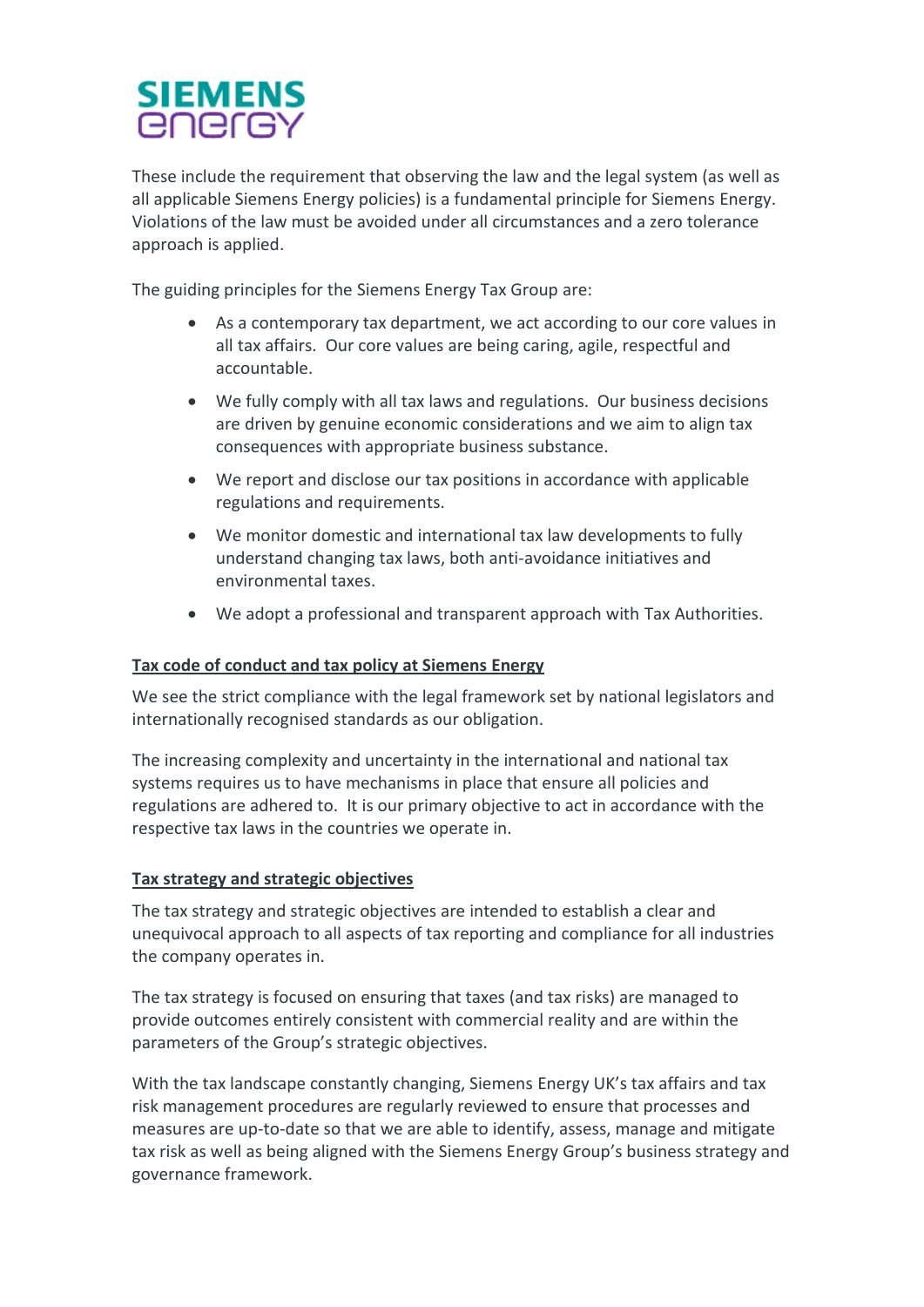# **SIEMENS** *<u>ENErGY</u>*

These include the requirement that observing the law and the legal system (as well as all applicable Siemens Energy policies) is a fundamental principle for Siemens Energy. Violations of the law must be avoided under all circumstances and a zero tolerance approach is applied.

The guiding principles for the Siemens Energy Tax Group are:

- As a contemporary tax department, we act according to our core values in all tax affairs. Our core values are being caring, agile, respectful and accountable.
- We fully comply with all tax laws and regulations. Our business decisions are driven by genuine economic considerations and we aim to align tax consequences with appropriate business substance.
- We report and disclose our tax positions in accordance with applicable regulations and requirements.
- We monitor domestic and international tax law developments to fully understand changing tax laws, both anti-avoidance initiatives and environmental taxes.
- We adopt a professional and transparent approach with Tax Authorities.

### **Tax code of conduct and tax policy at Siemens Energy**

We see the strict compliance with the legal framework set by national legislators and internationally recognised standards as our obligation.

The increasing complexity and uncertainty in the international and national tax systems requires us to have mechanisms in place that ensure all policies and regulations are adhered to. It is our primary objective to act in accordance with the respective tax laws in the countries we operate in.

#### **Tax strategy and strategic objectives**

The tax strategy and strategic objectives are intended to establish a clear and unequivocal approach to all aspects of tax reporting and compliance for all industries the company operates in.

The tax strategy is focused on ensuring that taxes (and tax risks) are managed to provide outcomes entirely consistent with commercial reality and are within the parameters of the Group's strategic objectives.

With the tax landscape constantly changing, Siemens Energy UK's tax affairs and tax risk management procedures are regularly reviewed to ensure that processes and measures are up-to-date so that we are able to identify, assess, manage and mitigate tax risk as well as being aligned with the Siemens Energy Group's business strategy and governance framework.